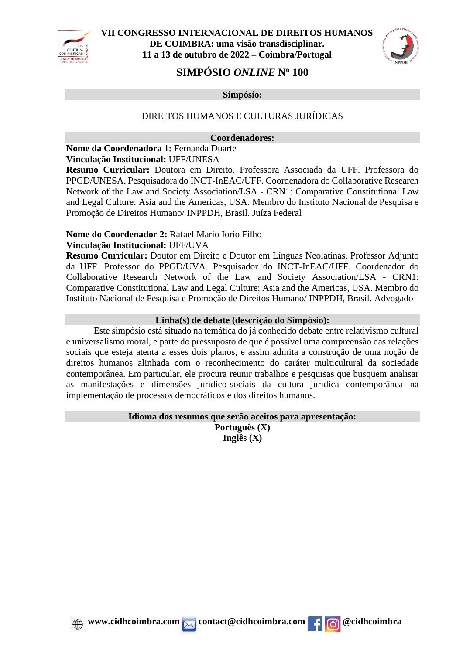

**VII CONGRESSO INTERNACIONAL DE DIREITOS HUMANOS DE COIMBRA: uma visão transdisciplinar. 11 a 13 de outubro de 2022 – Coimbra/Portugal**



# **SIMPÓSIO** *ONLINE* **N<sup>o</sup> 100**

**Simpósio:**

## DIREITOS HUMANOS E CULTURAS JURÍDICAS

### **Coordenadores:**

### **Nome da Coordenadora 1:** Fernanda Duarte **Vinculação Institucional:** UFF/UNESA

**Resumo Curricular:** Doutora em Direito. Professora Associada da UFF. Professora do PPGD/UNESA. Pesquisadora do INCT-InEAC/UFF. Coordenadora do Collaborative Research Network of the Law and Society Association/LSA - CRN1: Comparative Constitutional Law and Legal Culture: Asia and the Americas, USA. Membro do Instituto Nacional de Pesquisa e Promoção de Direitos Humano/ INPPDH, Brasil. Juíza Federal

## **Nome do Coordenador 2:** Rafael Mario Iorio Filho

### **Vinculação Institucional:** UFF/UVA

**Resumo Curricular:** Doutor em Direito e Doutor em Línguas Neolatinas. Professor Adjunto da UFF. Professor do PPGD/UVA. Pesquisador do INCT-InEAC/UFF. Coordenador do Collaborative Research Network of the Law and Society Association/LSA - CRN1: Comparative Constitutional Law and Legal Culture: Asia and the Americas, USA. Membro do Instituto Nacional de Pesquisa e Promoção de Direitos Humano/ INPPDH, Brasil. Advogado

### **Linha(s) de debate (descrição do Simpósio):**

Este simpósio está situado na temática do já conhecido debate entre relativismo cultural e universalismo moral, e parte do pressuposto de que é possível uma compreensão das relações sociais que esteja atenta a esses dois planos, e assim admita a construção de uma noção de direitos humanos alinhada com o reconhecimento do caráter multicultural da sociedade contemporânea. Em particular, ele procura reunir trabalhos e pesquisas que busquem analisar as manifestações e dimensões jurídico-sociais da cultura jurídica contemporânea na implementação de processos democráticos e dos direitos humanos.

#### **Idioma dos resumos que serão aceitos para apresentação: Português (X) Inglês (X)**

**E** www.cidhcoimbra.com  $\overline{\phantom{a}}$  contact@cidhcoimbra.com **f c c** dhcoimbra